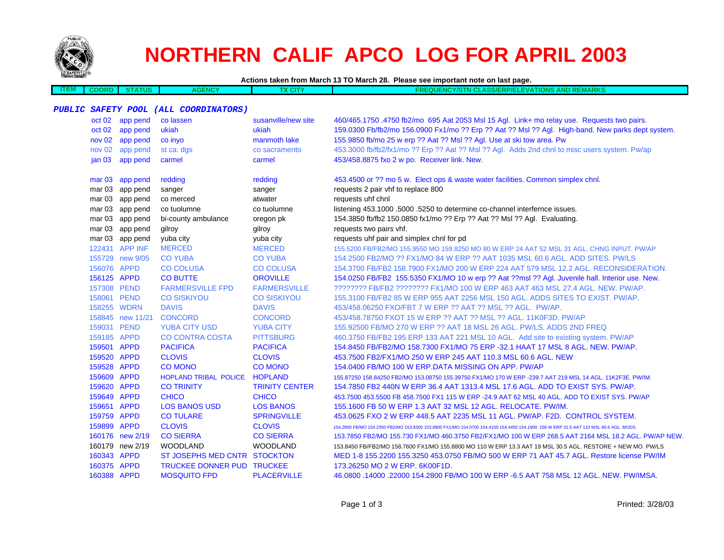

# **NORTHERN CALIF APCO LOG FOR APRIL 2003**

**Actions taken from March 13 TO March 28. Please see important note on last page.**

| __<br>EM. | COORF | $\cdots$ | <b>GENCY</b> | <b>CONTRACTOR</b><br>u | <b>MADKS</b><br><b>TONS</b><br><b>NCY/S</b><br>וור<br>ND<br>≀P/E<br>=w<br>. .<br>$-1$ $-1$<br>. .<br>2001EF<br>wenn<br>31 V L<br>. |
|-----------|-------|----------|--------------|------------------------|------------------------------------------------------------------------------------------------------------------------------------|
|           |       |          |              |                        |                                                                                                                                    |

### **PUBLIC SAFETY POOL (ALL COORDINATORS)**

|             | oct 02 app pend  | co lassen                         | susanville/new site   | 460/465.1750.4750 fb2/mo 695 Aat 2053 Msl 15 Agl. Link+ mo relay use. Requests two pairs.                                              |
|-------------|------------------|-----------------------------------|-----------------------|----------------------------------------------------------------------------------------------------------------------------------------|
| oct 02      | app pend         | ukiah                             | ukiah                 | 159.0300 Fb/fb2/mo 156.0900 Fx1/mo ?? Erp ?? Aat ?? Msl ?? Agl. High-band. New parks dept system.                                      |
|             | nov 02 app pend  | co inyo                           | manmoth lake          | 155.9850 fb/mo 25 w erp ?? Aat ?? Msl ?? Agl. Use at ski tow area. Pw                                                                  |
|             | nov 02 app pend  | st ca: dgs                        | co sacramento         | 453.3000 fb/fb2/fx1/mo ?? Erp ?? Aat ?? Msl ?? Agl. Adds 2nd chnl to misc users system. Pw/ap                                          |
| jan 03      | app pend         | carmel                            | carmel                | 453/458.8875 fxo 2 w po. Receiver link. New.                                                                                           |
|             |                  |                                   |                       |                                                                                                                                        |
|             | mar 03 app pend  | redding                           | redding               | 453.4500 or ?? mo 5 w. Elect ops & waste water facilities. Common simplex chnl.                                                        |
|             | mar 03 app pend  | sanger                            | sanger                | requests 2 pair vhf to replace 800                                                                                                     |
|             | mar 03 app pend  | co merced                         | atwater               | requests uhf chnl                                                                                                                      |
|             | mar 03 app pend  | co tuolumne                       | co tuolumne           | listening 453.1000 .5000 .5250 to determine co-channel interfernce issues.                                                             |
|             | mar 03 app pend  | bi-county ambulance               | oregon pk             | 154.3850 fb/fb2 150.0850 fx1/mo ?? Erp ?? Aat ?? Msl ?? Agl. Evaluating.                                                               |
|             | mar 03 app pend  | gilroy                            | gilroy                | requests two pairs vhf.                                                                                                                |
|             | mar 03 app pend  | yuba city                         | yuba city             | requests uhf pair and simplex chnl for pd                                                                                              |
|             | 122431 APP INF   | <b>MERCED</b>                     | <b>MERCED</b>         | 155,5200 FB/FB2/MO 155,9550 MO 159,8250 MO 80 W ERP 24 AAT 52 MSL 31 AGL, CHNG INPUT, PW/AP                                            |
|             | 155729 new 9/05  | <b>CO YUBA</b>                    | <b>CO YUBA</b>        | 154,2500 FB2/MO ?? FX1/MO 84 W ERP ?? AAT 1035 MSL 60.6 AGL, ADD SITES, PW/LS                                                          |
| 156076 APPD |                  | <b>CO COLUSA</b>                  | <b>CO COLUSA</b>      | 154.3700 FB/FB2 158.7900 FX1/MO 200 W ERP 224 AAT 579 MSL 12.2 AGL. RECONSIDERATION.                                                   |
| 156125 APPD |                  | <b>CO BUTTE</b>                   | <b>OROVILLE</b>       | 154.0250 FB/FB2 155.5350 FX1/MO 10 w erp ?? Aat ??msl ?? Agl. Juvenile hall. Interior use. New.                                        |
| 157308 PEND |                  | <b>FARMERSVILLE FPD</b>           | <b>FARMERSVILLE</b>   | ???????? FB/FB2 ??????? FX1/MO 100 W ERP 463 AAT 463 MSL 27.4 AGL. NEW. PW/AP.                                                         |
| 158061 PEND |                  | <b>CO SISKIYOU</b>                | <b>CO SISKIYOU</b>    | 155.3100 FB/FB2 85 W ERP 955 AAT 2256 MSL 150 AGL. ADDS SITES TO EXIST. PW/AP.                                                         |
| 158255 WDRN |                  | <b>DAVIS</b>                      | <b>DAVIS</b>          | 453/458.06250 FXO/FBT 7 W ERP ?? AAT ?? MSL ?? AGL. PW/AP.                                                                             |
|             | 158845 new 11/21 | <b>CONCORD</b>                    | <b>CONCORD</b>        | 453/458.78750 FXOT 15 W ERP ?? AAT ?? MSL ?? AGL, 11K0F3D, PW/AP                                                                       |
| 159031 PEND |                  | <b>YUBA CITY USD</b>              | <b>YUBA CITY</b>      | 155,92500 FB/MO 270 W ERP ?? AAT 18 MSL 26 AGL, PW/LS, ADDS 2ND FREQ                                                                   |
| 159185 APPD |                  | <b>CO CONTRA COSTA</b>            | <b>PITTSBURG</b>      | 460.3750 FB/FB2 195 ERP 133 AAT 221 MSL 10 AGL. Add site to existing system. PW/AP                                                     |
| 159501 APPD |                  | <b>PACIFICA</b>                   | <b>PACIFICA</b>       | 154,8450 FB/FB2/MO 158,7300 FX1/MO 75 ERP -32.1 HAAT 17 MSL 8 AGL, NEW, PW/AP,                                                         |
| 159520 APPD |                  | <b>CLOVIS</b>                     | <b>CLOVIS</b>         | 453.7500 FB2/FX1/MO 250 W ERP 245 AAT 110.3 MSL 60.6 AGL. NEW                                                                          |
| 159528 APPD |                  | <b>CO MONO</b>                    | <b>CO MONO</b>        | 154.0400 FB/MO 100 W ERP.DATA MISSING ON APP. PW/AP                                                                                    |
| 159609 APPD |                  | HOPLAND TRIBAL POLICE HOPLAND     |                       | 155.87250 158.84250 FB2/MO 153.08750 155.39750 FX1/MO 170 W ERP -239.7 AAT 219 MSL 14 AGL, 11K2F3E, PW/IM.                             |
| 159620 APPD |                  | <b>CO TRINITY</b>                 | <b>TRINITY CENTER</b> | 154.7850 FB2 440N W ERP 36.4 AAT 1313.4 MSL 17.6 AGL. ADD TO EXIST SYS. PW/AP.                                                         |
| 159649 APPD |                  | <b>CHICO</b>                      | <b>CHICO</b>          | 453.7500 453.5500 FB 458.7500 FX1 115 W ERP -24.9 AAT 62 MSL 40 AGL. ADD TO EXIST SYS. PW/AP                                           |
| 159651 APPD |                  | <b>LOS BANOS USD</b>              | <b>LOS BANOS</b>      | 155.1600 FB 50 W ERP 1.3 AAT 32 MSL 12 AGL. RELOCATE. PW/IM.                                                                           |
| 159759 APPD |                  | <b>CO TULARE</b>                  | <b>SPRINGVILLE</b>    | 453.0625 FXO 2 W ERP 448.5 AAT 2235 MSL 11 AGL, PW/AP, F2D, CONTROL SYSTEM.                                                            |
| 159899 APPD |                  | <b>CLOVIS</b>                     | <b>CLOVIS</b>         | 154.2800 FB/MO 154.2350 FB2/MO 153.8300 153.8900 FX1/MO 154.0700 154.4150 154.4450 154.1900 158 W ERP 31.5 AAT 110 MSL 60.6 AGL. MODS. |
|             | 160176 new 2/19  | <b>CO SIERRA</b>                  | <b>CO SIERRA</b>      | 153.7850 FB2/MO 155.730 FX1/MO 460.3750 FB2/FX1/MO 100 W ERP 268.5 AAT 2164 MSL 18.2 AGL. PW/AP NEW.                                   |
|             | 160179 new 2/19  | WOODLAND                          | <b>WOODLAND</b>       | 153.8450 FB/FB2/MO 158.7600 FX1/MO 155.8800 MO 110 W ERP 13.3 AAT 19 MSL 30.5 AGL. RESTORE + NEW MO. PW/LS                             |
| 160343 APPD |                  | ST JOSEPHS MED CNTR STOCKTON      |                       | MED 1-8 155.2200 155.3250 453.0750 FB/MO 500 W ERP 71 AAT 45.7 AGL. Restore license PW/IM                                              |
| 160375 APPD |                  | <b>TRUCKEE DONNER PUD TRUCKEE</b> |                       | 173.26250 MO 2 W ERP, 6K00F1D.                                                                                                         |
| 160388 APPD |                  | <b>MOSQUITO FPD</b>               | <b>PLACERVILLE</b>    | 46.0800 .14000 .22000 154.2800 FB/MO 100 W ERP -6.5 AAT 758 MSL 12 AGL. NEW. PW/IMSA.                                                  |